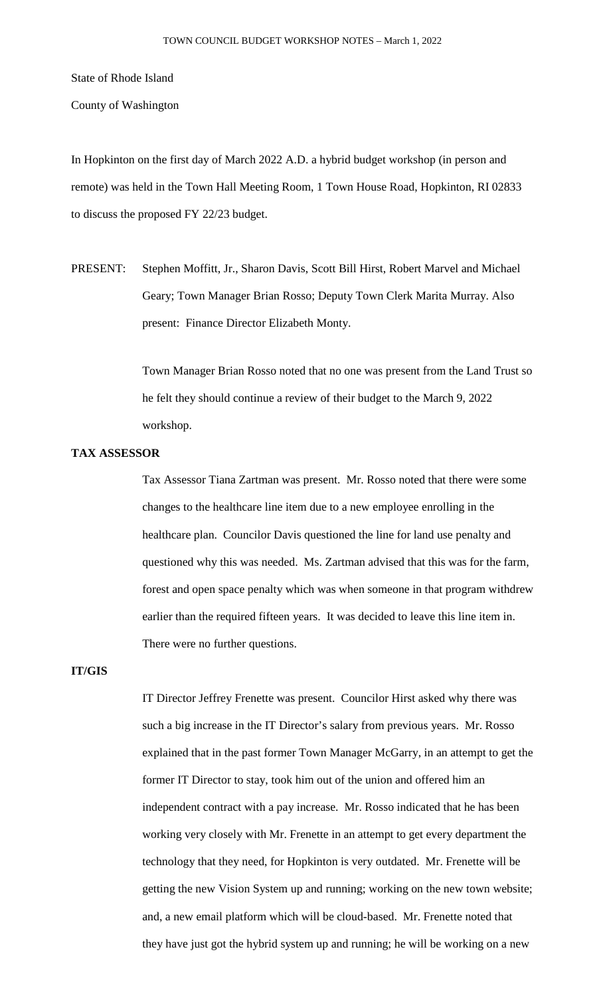State of Rhode Island

County of Washington

In Hopkinton on the first day of March 2022 A.D. a hybrid budget workshop (in person and remote) was held in the Town Hall Meeting Room, 1 Town House Road, Hopkinton, RI 02833 to discuss the proposed FY 22/23 budget.

PRESENT: Stephen Moffitt, Jr., Sharon Davis, Scott Bill Hirst, Robert Marvel and Michael Geary; Town Manager Brian Rosso; Deputy Town Clerk Marita Murray. Also present: Finance Director Elizabeth Monty.

> Town Manager Brian Rosso noted that no one was present from the Land Trust so he felt they should continue a review of their budget to the March 9, 2022 workshop.

# **TAX ASSESSOR**

Tax Assessor Tiana Zartman was present. Mr. Rosso noted that there were some changes to the healthcare line item due to a new employee enrolling in the healthcare plan. Councilor Davis questioned the line for land use penalty and questioned why this was needed. Ms. Zartman advised that this was for the farm, forest and open space penalty which was when someone in that program withdrew earlier than the required fifteen years. It was decided to leave this line item in. There were no further questions.

# **IT/GIS**

IT Director Jeffrey Frenette was present. Councilor Hirst asked why there was such a big increase in the IT Director's salary from previous years. Mr. Rosso explained that in the past former Town Manager McGarry, in an attempt to get the former IT Director to stay, took him out of the union and offered him an independent contract with a pay increase. Mr. Rosso indicated that he has been working very closely with Mr. Frenette in an attempt to get every department the technology that they need, for Hopkinton is very outdated. Mr. Frenette will be getting the new Vision System up and running; working on the new town website; and, a new email platform which will be cloud-based. Mr. Frenette noted that they have just got the hybrid system up and running; he will be working on a new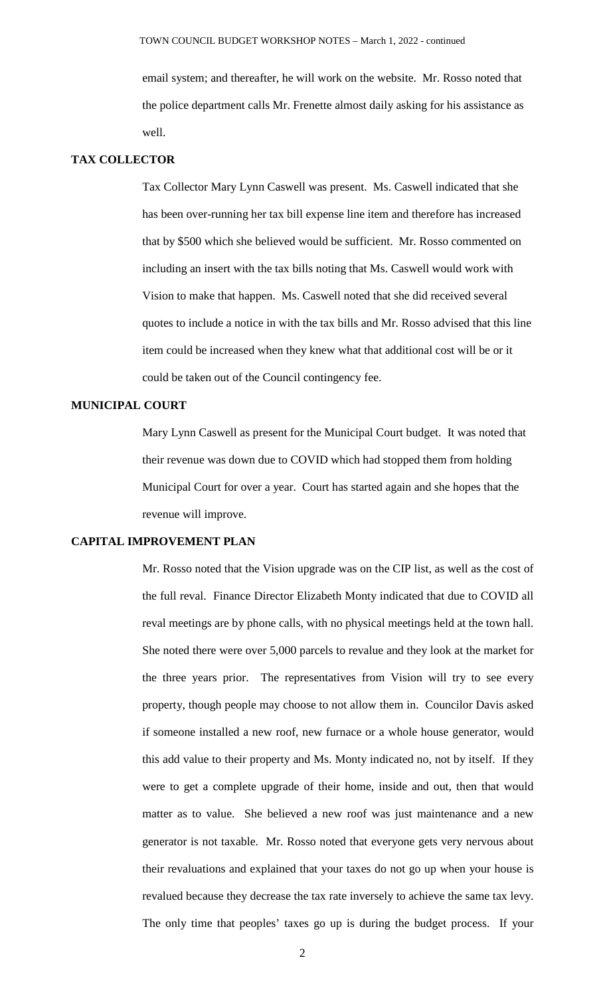email system; and thereafter, he will work on the website. Mr. Rosso noted that the police department calls Mr. Frenette almost daily asking for his assistance as well.

#### **TAX COLLECTOR**

Tax Collector Mary Lynn Caswell was present. Ms. Caswell indicated that she has been over-running her tax bill expense line item and therefore has increased that by \$500 which she believed would be sufficient. Mr. Rosso commented on including an insert with the tax bills noting that Ms. Caswell would work with Vision to make that happen. Ms. Caswell noted that she did received several quotes to include a notice in with the tax bills and Mr. Rosso advised that this line item could be increased when they knew what that additional cost will be or it could be taken out of the Council contingency fee.

### **MUNICIPAL COURT**

Mary Lynn Caswell as present for the Municipal Court budget. It was noted that their revenue was down due to COVID which had stopped them from holding Municipal Court for over a year. Court has started again and she hopes that the revenue will improve.

### **CAPITAL IMPROVEMENT PLAN**

Mr. Rosso noted that the Vision upgrade was on the CIP list, as well as the cost of the full reval. Finance Director Elizabeth Monty indicated that due to COVID all reval meetings are by phone calls, with no physical meetings held at the town hall. She noted there were over 5,000 parcels to revalue and they look at the market for the three years prior. The representatives from Vision will try to see every property, though people may choose to not allow them in. Councilor Davis asked if someone installed a new roof, new furnace or a whole house generator, would this add value to their property and Ms. Monty indicated no, not by itself. If they were to get a complete upgrade of their home, inside and out, then that would matter as to value. She believed a new roof was just maintenance and a new generator is not taxable. Mr. Rosso noted that everyone gets very nervous about their revaluations and explained that your taxes do not go up when your house is revalued because they decrease the tax rate inversely to achieve the same tax levy. The only time that peoples' taxes go up is during the budget process. If your